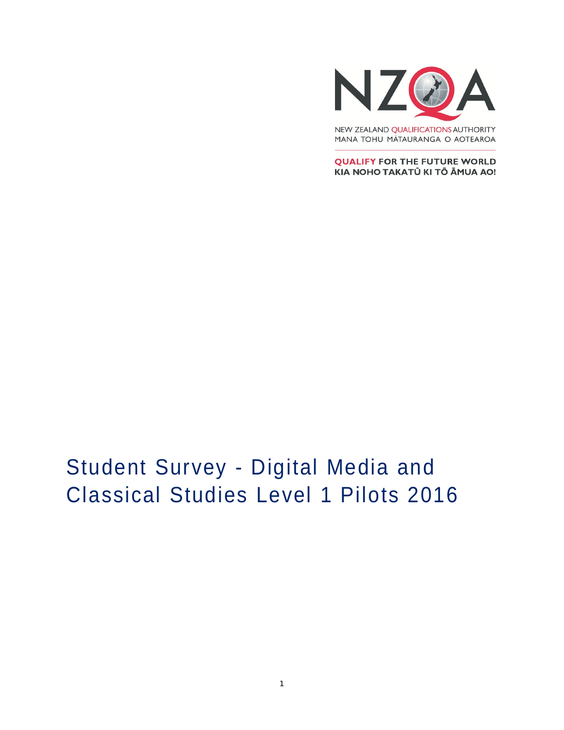

MANA TOHU MĀTAURANGA O AOTEAROA

**QUALIFY FOR THE FUTURE WORLD** KIA NOHO TAKATŪ KI TŌ ĀMUA AO!

# Student Survey - Digital Media and Classical Studies Level 1 Pilots 2016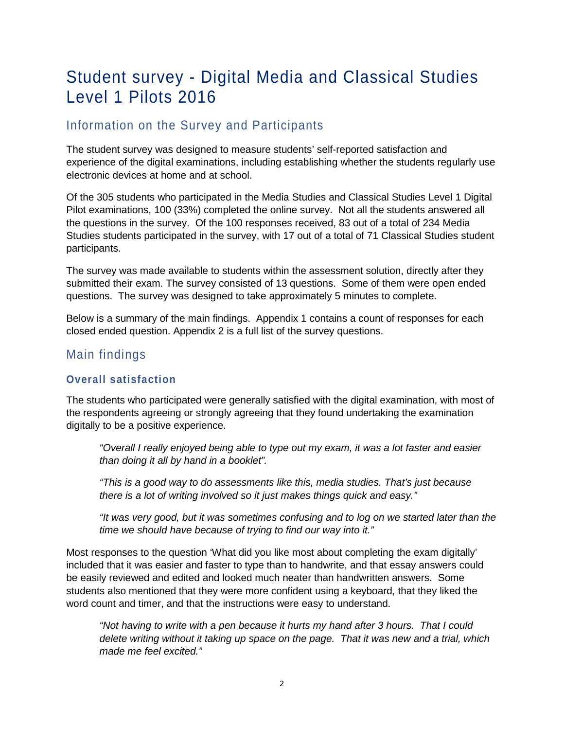## Student survey - Digital Media and Classical Studies Level 1 Pilots 2016

## Information on the Survey and Participants

The student survey was designed to measure students' self-reported satisfaction and experience of the digital examinations, including establishing whether the students regularly use electronic devices at home and at school.

Of the 305 students who participated in the Media Studies and Classical Studies Level 1 Digital Pilot examinations, 100 (33%) completed the online survey. Not all the students answered all the questions in the survey. Of the 100 responses received, 83 out of a total of 234 Media Studies students participated in the survey, with 17 out of a total of 71 Classical Studies student participants.

The survey was made available to students within the assessment solution, directly after they submitted their exam. The survey consisted of 13 questions. Some of them were open ended questions. The survey was designed to take approximately 5 minutes to complete.

Below is a summary of the main findings. Appendix 1 contains a count of responses for each closed ended question. Appendix 2 is a full list of the survey questions.

## Main findings

#### **Overall satisfaction**

The students who participated were generally satisfied with the digital examination, with most of the respondents agreeing or strongly agreeing that they found undertaking the examination digitally to be a positive experience.

*"Overall I really enjoyed being able to type out my exam, it was a lot faster and easier than doing it all by hand in a booklet".*

*"This is a good way to do assessments like this, media studies. That's just because there is a lot of writing involved so it just makes things quick and easy."*

*"It was very good, but it was sometimes confusing and to log on we started later than the time we should have because of trying to find our way into it."*

Most responses to the question 'What did you like most about completing the exam digitally' included that it was easier and faster to type than to handwrite, and that essay answers could be easily reviewed and edited and looked much neater than handwritten answers. Some students also mentioned that they were more confident using a keyboard, that they liked the word count and timer, and that the instructions were easy to understand.

*"Not having to write with a pen because it hurts my hand after 3 hours. That I could delete writing without it taking up space on the page. That it was new and a trial, which made me feel excited."*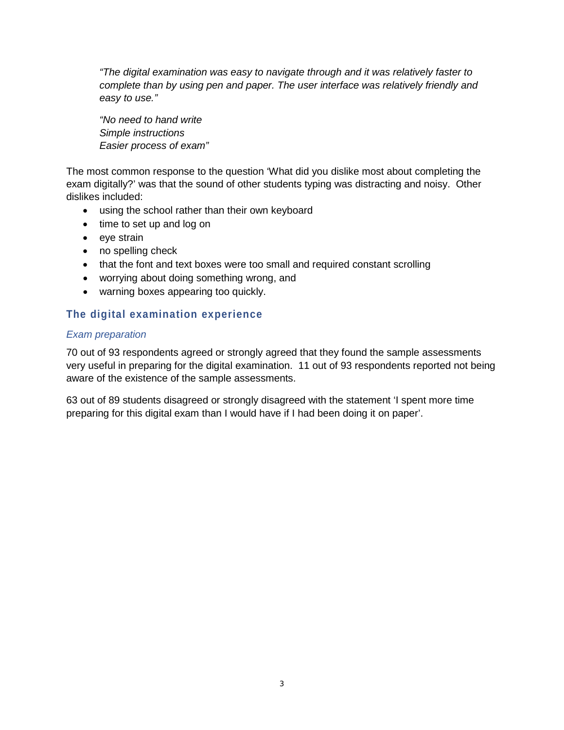*"The digital examination was easy to navigate through and it was relatively faster to complete than by using pen and paper. The user interface was relatively friendly and easy to use."*

*"No need to hand write Simple instructions Easier process of exam"*

The most common response to the question 'What did you dislike most about completing the exam digitally?' was that the sound of other students typing was distracting and noisy. Other dislikes included:

- using the school rather than their own keyboard
- time to set up and log on
- eye strain
- no spelling check
- that the font and text boxes were too small and required constant scrolling
- worrying about doing something wrong, and
- warning boxes appearing too quickly.

### **The digital examination experience**

#### *Exam preparation*

70 out of 93 respondents agreed or strongly agreed that they found the sample assessments very useful in preparing for the digital examination. 11 out of 93 respondents reported not being aware of the existence of the sample assessments.

63 out of 89 students disagreed or strongly disagreed with the statement 'I spent more time preparing for this digital exam than I would have if I had been doing it on paper'.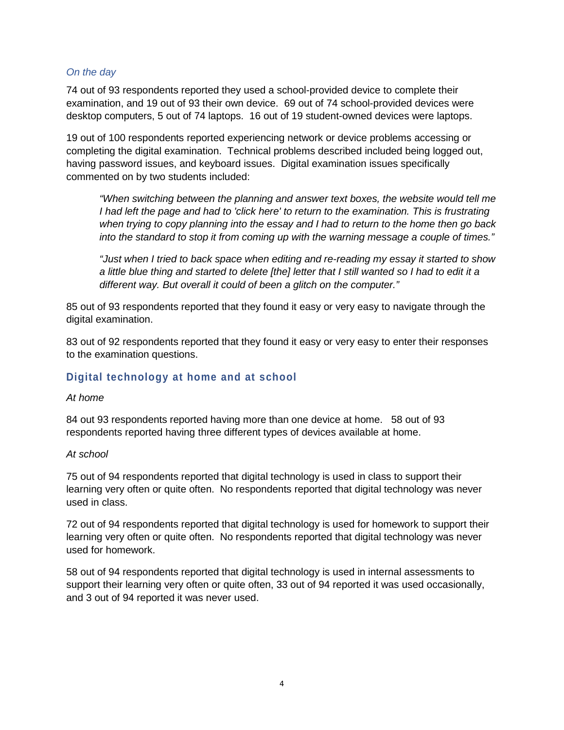#### *On the day*

74 out of 93 respondents reported they used a school-provided device to complete their examination, and 19 out of 93 their own device. 69 out of 74 school-provided devices were desktop computers, 5 out of 74 laptops. 16 out of 19 student-owned devices were laptops.

19 out of 100 respondents reported experiencing network or device problems accessing or completing the digital examination. Technical problems described included being logged out, having password issues, and keyboard issues. Digital examination issues specifically commented on by two students included:

*"When switching between the planning and answer text boxes, the website would tell me I* had left the page and had to 'click here' to return to the examination. This is frustrating *when trying to copy planning into the essay and I had to return to the home then go back into the standard to stop it from coming up with the warning message a couple of times."*

*"Just when I tried to back space when editing and re-reading my essay it started to show a little blue thing and started to delete [the] letter that I still wanted so I had to edit it a different way. But overall it could of been a glitch on the computer."*

85 out of 93 respondents reported that they found it easy or very easy to navigate through the digital examination.

83 out of 92 respondents reported that they found it easy or very easy to enter their responses to the examination questions.

#### **Digital technology at home and at school**

#### *At home*

84 out 93 respondents reported having more than one device at home. 58 out of 93 respondents reported having three different types of devices available at home.

#### *At school*

75 out of 94 respondents reported that digital technology is used in class to support their learning very often or quite often. No respondents reported that digital technology was never used in class.

72 out of 94 respondents reported that digital technology is used for homework to support their learning very often or quite often. No respondents reported that digital technology was never used for homework.

58 out of 94 respondents reported that digital technology is used in internal assessments to support their learning very often or quite often, 33 out of 94 reported it was used occasionally, and 3 out of 94 reported it was never used.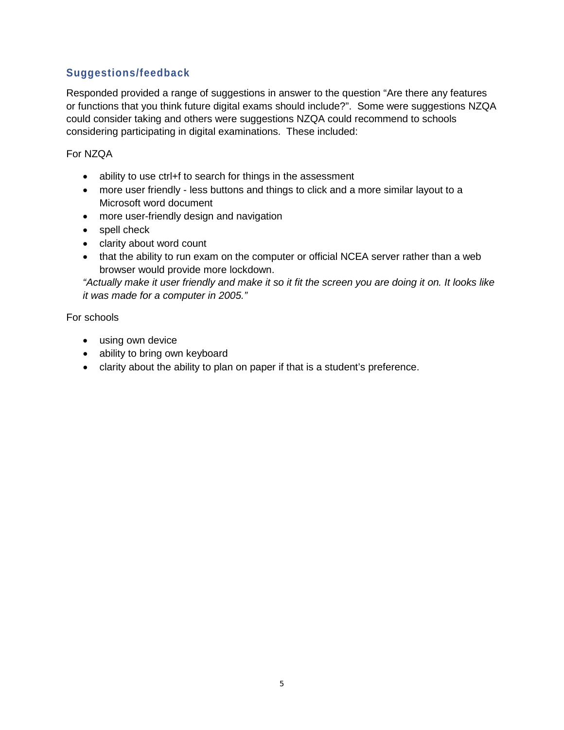## **Suggestions/feedback**

Responded provided a range of suggestions in answer to the question "Are there any features or functions that you think future digital exams should include?". Some were suggestions NZQA could consider taking and others were suggestions NZQA could recommend to schools considering participating in digital examinations. These included:

#### For NZQA

- ability to use ctrl+f to search for things in the assessment
- more user friendly less buttons and things to click and a more similar layout to a Microsoft word document
- more user-friendly design and navigation
- spell check
- clarity about word count
- that the ability to run exam on the computer or official NCEA server rather than a web browser would provide more lockdown.

*"Actually make it user friendly and make it so it fit the screen you are doing it on. It looks like it was made for a computer in 2005."*

For schools

- using own device
- ability to bring own keyboard
- clarity about the ability to plan on paper if that is a student's preference.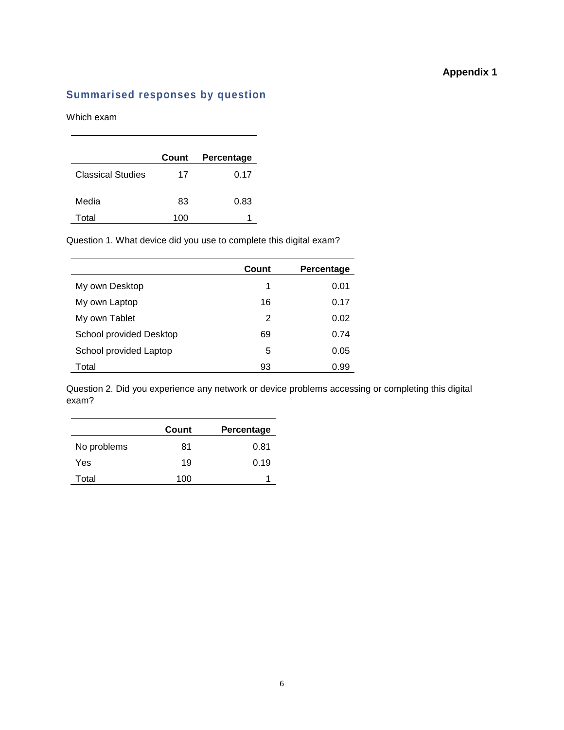#### **Appendix 1**

## **Summarised responses by question**

Which exam

|                          | Count | Percentage |
|--------------------------|-------|------------|
| <b>Classical Studies</b> | 17    | 0.17       |
| Media                    | 83    | 0.83       |
| Total                    | 100   |            |

Question 1. What device did you use to complete this digital exam?

|                         | Count | Percentage |
|-------------------------|-------|------------|
| My own Desktop          | 1     | 0.01       |
| My own Laptop           | 16    | 0.17       |
| My own Tablet           | 2     | 0.02       |
| School provided Desktop | 69    | 0.74       |
| School provided Laptop  | 5     | 0.05       |
| Total                   | 93    | 0.99       |

Question 2. Did you experience any network or device problems accessing or completing this digital exam?

|             | Count | Percentage |
|-------------|-------|------------|
| No problems | 81    | 0.81       |
| Yes         | 19    | 0.19       |
| Total       | 100   |            |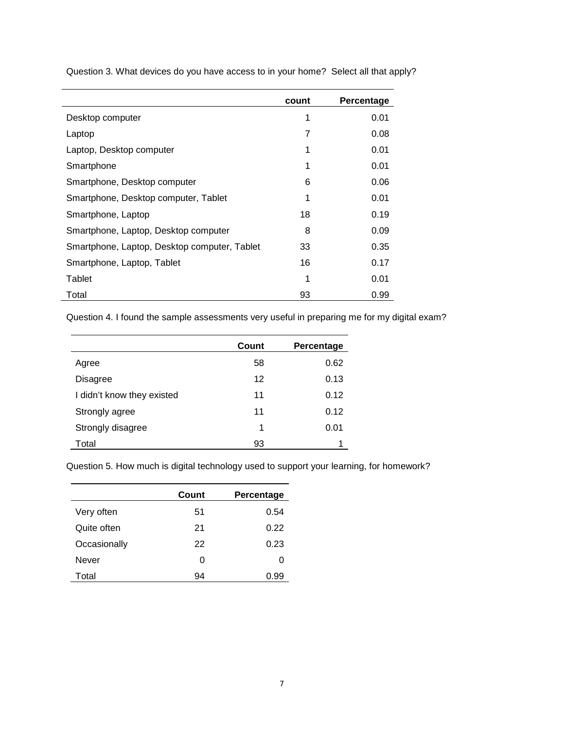|                                              | count | Percentage |
|----------------------------------------------|-------|------------|
| Desktop computer                             | 1     | 0.01       |
| Laptop                                       | 7     | 0.08       |
| Laptop, Desktop computer                     | 1     | 0.01       |
| Smartphone                                   | 1     | 0.01       |
| Smartphone, Desktop computer                 | 6     | 0.06       |
| Smartphone, Desktop computer, Tablet         | 1     | 0.01       |
| Smartphone, Laptop                           | 18    | 0.19       |
| Smartphone, Laptop, Desktop computer         | 8     | 0.09       |
| Smartphone, Laptop, Desktop computer, Tablet | 33    | 0.35       |
| Smartphone, Laptop, Tablet                   | 16    | 0.17       |
| Tablet                                       | 1     | 0.01       |
| Total                                        | 93    | 0.99       |

Question 3. What devices do you have access to in your home? Select all that apply?

Question 4. I found the sample assessments very useful in preparing me for my digital exam?

|                            | Count | Percentage |
|----------------------------|-------|------------|
| Agree                      | 58    | 0.62       |
| <b>Disagree</b>            | 12    | 0.13       |
| I didn't know they existed | 11    | 0.12       |
| Strongly agree             | 11    | 0.12       |
| Strongly disagree          | 1     | 0.01       |
| Total                      | 93    |            |

Question 5. How much is digital technology used to support your learning, for homework?

|              | Count | Percentage |
|--------------|-------|------------|
| Very often   | 51    | 0.54       |
| Quite often  | 21    | 0.22       |
| Occasionally | 22    | 0.23       |
| <b>Never</b> | 0     | O          |
| Total        | 94    | 0.99       |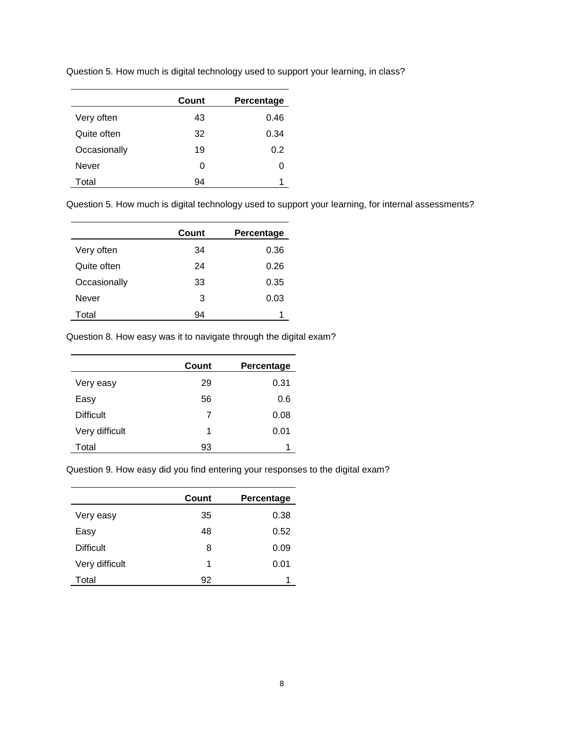|              | Count | Percentage |
|--------------|-------|------------|
| Very often   | 43    | 0.46       |
| Quite often  | 32    | 0.34       |
| Occasionally | 19    | 0.2        |
| Never        | 0     | 0          |
| Total        | 94    |            |

Question 5. How much is digital technology used to support your learning, in class?

Question 5. How much is digital technology used to support your learning, for internal assessments?

|              | Count | Percentage |
|--------------|-------|------------|
| Very often   | 34    | 0.36       |
| Quite often  | 24    | 0.26       |
| Occasionally | 33    | 0.35       |
| Never        | 3     | 0.03       |
| Total        | 94    |            |

Question 8. How easy was it to navigate through the digital exam?

|                  | Count | Percentage |
|------------------|-------|------------|
| Very easy        | 29    | 0.31       |
| Easy             | 56    | 0.6        |
| <b>Difficult</b> | 7     | 0.08       |
| Very difficult   | 1     | 0.01       |
| Total            | 93    |            |

Question 9. How easy did you find entering your responses to the digital exam?

|                  | Count | Percentage |
|------------------|-------|------------|
| Very easy        | 35    | 0.38       |
| Easy             | 48    | 0.52       |
| <b>Difficult</b> | 8     | 0.09       |
| Very difficult   | 1     | 0.01       |
| Total            | 92    |            |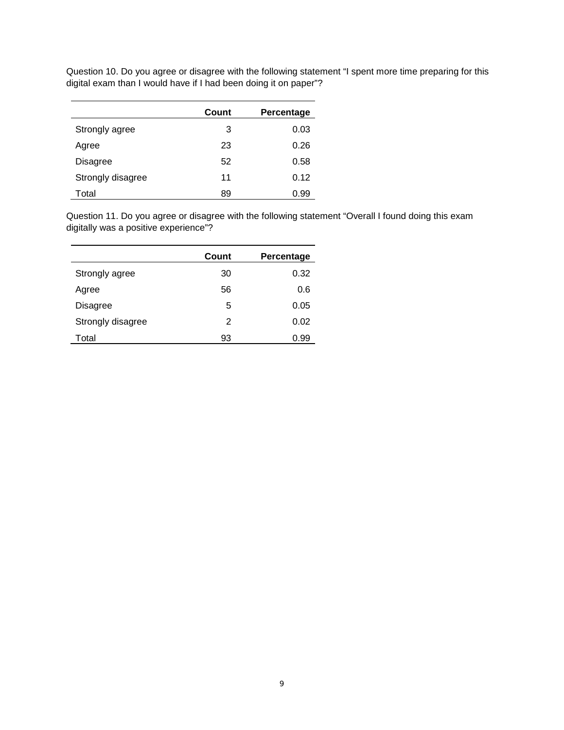Question 10. Do you agree or disagree with the following statement "I spent more time preparing for this digital exam than I would have if I had been doing it on paper"?

|                   | Count | Percentage |
|-------------------|-------|------------|
| Strongly agree    | 3     | 0.03       |
| Agree             | 23    | 0.26       |
| Disagree          | 52    | 0.58       |
| Strongly disagree | 11    | 0.12       |
| Total             | 89    | 0.99       |

Question 11. Do you agree or disagree with the following statement "Overall I found doing this exam digitally was a positive experience"?

|                   | Count | Percentage |
|-------------------|-------|------------|
| Strongly agree    | 30    | 0.32       |
| Agree             | 56    | 0.6        |
| Disagree          | 5     | 0.05       |
| Strongly disagree | 2     | 0.02       |
| Total             | 93    | 0.99       |